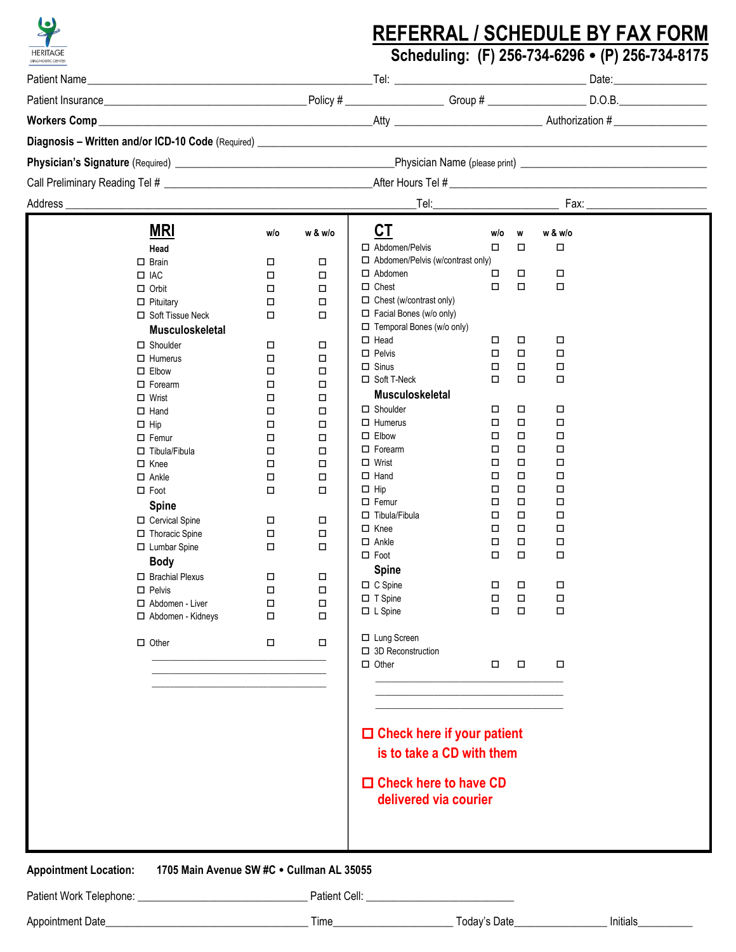

## **[REFERRAL / SCHEDULE BY FAX FORM](mailto:referrer_updates@disnola.com?subject=Patient%20Referral%20Order%20Form)**

**Scheduling: (F) 256-734-6296 (P) 256-734-8175**

|                                                                                   |                                           |                    |         |                                                       | Date: ___________________                                                                                                                                                                                                            |             |                   |  |
|-----------------------------------------------------------------------------------|-------------------------------------------|--------------------|---------|-------------------------------------------------------|--------------------------------------------------------------------------------------------------------------------------------------------------------------------------------------------------------------------------------------|-------------|-------------------|--|
|                                                                                   |                                           |                    |         |                                                       |                                                                                                                                                                                                                                      |             | D.O.B.            |  |
|                                                                                   |                                           |                    |         |                                                       |                                                                                                                                                                                                                                      |             |                   |  |
| Diagnosis - Written and/or ICD-10 Code (Required) _______________________________ |                                           |                    |         |                                                       |                                                                                                                                                                                                                                      |             |                   |  |
|                                                                                   |                                           |                    |         |                                                       |                                                                                                                                                                                                                                      |             |                   |  |
|                                                                                   |                                           |                    |         |                                                       |                                                                                                                                                                                                                                      |             |                   |  |
| Address                                                                           |                                           | _Tel:_____________ |         |                                                       | Fax:                                                                                                                                                                                                                                 |             |                   |  |
|                                                                                   | <b>MRI</b>                                |                    |         | <b>CT</b>                                             |                                                                                                                                                                                                                                      |             |                   |  |
|                                                                                   | Head                                      | w/o                | w & w/o | □ Abdomen/Pelvis                                      | w/o<br>П                                                                                                                                                                                                                             | W<br>□      | w & w/o<br>$\Box$ |  |
|                                                                                   | $\square$ Brain                           | □                  | П       |                                                       | □ Abdomen/Pelvis (w/contrast only)                                                                                                                                                                                                   |             |                   |  |
|                                                                                   | $\Box$ IAC                                | □                  | □       | $\Box$ Abdomen                                        | □                                                                                                                                                                                                                                    | □           | □                 |  |
|                                                                                   | $\Box$ Orbit                              | □                  | □       | $\Box$ Chest                                          | $\Box$                                                                                                                                                                                                                               | $\Box$      | $\Box$            |  |
|                                                                                   | $\Box$ Pituitary                          | □                  | □       | $\Box$ Chest (w/contrast only)                        |                                                                                                                                                                                                                                      |             |                   |  |
|                                                                                   | □ Soft Tissue Neck                        | □                  | П       | $\Box$ Facial Bones (w/o only)                        |                                                                                                                                                                                                                                      |             |                   |  |
|                                                                                   | Musculoskeletal                           |                    |         | □ Temporal Bones (w/o only)<br>$\Box$ Head            | □                                                                                                                                                                                                                                    | □           | □                 |  |
|                                                                                   | $\Box$ Shoulder                           | □                  | □       | $\Box$ Pelvis                                         | $\Box$                                                                                                                                                                                                                               | □           | □                 |  |
|                                                                                   | $\Box$ Humerus                            | □                  | П       | $\Box$ Sinus                                          | □                                                                                                                                                                                                                                    | □           | П                 |  |
|                                                                                   | $\Box$ Elbow                              | □                  | П       | □ Soft T-Neck                                         | □                                                                                                                                                                                                                                    | □           | □                 |  |
|                                                                                   | $\Box$ Forearm<br>$\Box$ Wrist            | □                  | □       | <b>Musculoskeletal</b>                                |                                                                                                                                                                                                                                      |             |                   |  |
|                                                                                   | $\Box$ Hand                               | □<br>□             | □<br>П  | $\Box$ Shoulder                                       | □                                                                                                                                                                                                                                    | □           | □                 |  |
|                                                                                   | $\Box$ Hip                                | □                  | □       | $\Box$ Humerus                                        | □                                                                                                                                                                                                                                    | □           | □                 |  |
|                                                                                   | $\Box$ Femur                              | □                  | П       | $\Box$ Elbow                                          | □                                                                                                                                                                                                                                    | □           | □                 |  |
|                                                                                   | $\Box$ Tibula/Fibula                      | □                  | □       | $\Box$ Forearm                                        | П                                                                                                                                                                                                                                    | □           | П                 |  |
|                                                                                   | $\Box$ Knee                               | $\Box$             | □       | $\Box$ Wrist                                          | □                                                                                                                                                                                                                                    | □           | □                 |  |
|                                                                                   | $\Box$ Ankle                              | □                  | □       | $\Box$ Hand                                           | □                                                                                                                                                                                                                                    | □           | П                 |  |
|                                                                                   | $\Box$ Foot                               | □                  | □       | $\Box$ Hip                                            | □                                                                                                                                                                                                                                    | □           | □                 |  |
|                                                                                   | <b>Spine</b>                              |                    |         | $\square$ Femur                                       | □                                                                                                                                                                                                                                    | ◻           | □                 |  |
|                                                                                   | □ Cervical Spine                          | □                  | □       | $\Box$ Tibula/Fibula                                  | □                                                                                                                                                                                                                                    | □           | □                 |  |
|                                                                                   | □ Thoracic Spine                          | □                  | П       | $\Box$ Knee                                           | □                                                                                                                                                                                                                                    | □           | П                 |  |
|                                                                                   | □ Lumbar Spine                            | □                  | □       | $\Box$ Ankle                                          | □                                                                                                                                                                                                                                    | □           | □                 |  |
|                                                                                   | <b>Body</b>                               |                    |         | $\square$ Foot                                        | □                                                                                                                                                                                                                                    | $\Box$      | □                 |  |
|                                                                                   | $\Box$ Brachial Plexus                    | □                  | □       | <b>Spine</b>                                          |                                                                                                                                                                                                                                      |             |                   |  |
|                                                                                   | $\Box$ Pelvis                             | П                  | П       | $\Box$ C Spine                                        | □                                                                                                                                                                                                                                    | □           | □                 |  |
|                                                                                   | Abdomen - Liver                           | □                  | □       | $\Box$ T Spine<br>$\Box$ L Spine                      | □<br>П                                                                                                                                                                                                                               | □<br>$\Box$ | П<br>□            |  |
|                                                                                   | Abdomen - Kidneys                         | □                  | □       |                                                       |                                                                                                                                                                                                                                      |             |                   |  |
|                                                                                   | $\Box$ Other                              | $\Box$             | $\Box$  | □ Lung Screen                                         |                                                                                                                                                                                                                                      |             |                   |  |
|                                                                                   |                                           |                    |         | $\square$ 3D Reconstruction<br>$\Box$ Other           | $\Box$                                                                                                                                                                                                                               | $\Box$      | □                 |  |
|                                                                                   |                                           |                    |         |                                                       |                                                                                                                                                                                                                                      |             |                   |  |
|                                                                                   |                                           |                    |         |                                                       | the control of the control of the control of the control of the control of the control of                                                                                                                                            |             |                   |  |
|                                                                                   |                                           |                    |         |                                                       |                                                                                                                                                                                                                                      |             |                   |  |
|                                                                                   |                                           |                    |         | $\Box$ Check here if your patient                     |                                                                                                                                                                                                                                      |             |                   |  |
|                                                                                   |                                           |                    |         | is to take a CD with them                             |                                                                                                                                                                                                                                      |             |                   |  |
|                                                                                   |                                           |                    |         |                                                       |                                                                                                                                                                                                                                      |             |                   |  |
|                                                                                   |                                           |                    |         | $\Box$ Check here to have CD<br>delivered via courier |                                                                                                                                                                                                                                      |             |                   |  |
|                                                                                   |                                           |                    |         |                                                       |                                                                                                                                                                                                                                      |             |                   |  |
|                                                                                   |                                           |                    |         |                                                       |                                                                                                                                                                                                                                      |             |                   |  |
| <b>Appointment Location:</b>                                                      | 1705 Main Avenue SW #C . Cullman AL 35055 |                    |         |                                                       |                                                                                                                                                                                                                                      |             |                   |  |
|                                                                                   |                                           |                    |         |                                                       | Patient Cell: <u>Discovery and the set of the set of the set of the set of the set of the set of the set of the set of the set of the set of the set of the set of the set of the set of the set of the set of the set of the se</u> |             |                   |  |
| Appointment Date_                                                                 |                                           |                    |         |                                                       | Today's Date_____                                                                                                                                                                                                                    |             | Initials          |  |
|                                                                                   |                                           |                    |         |                                                       |                                                                                                                                                                                                                                      |             |                   |  |